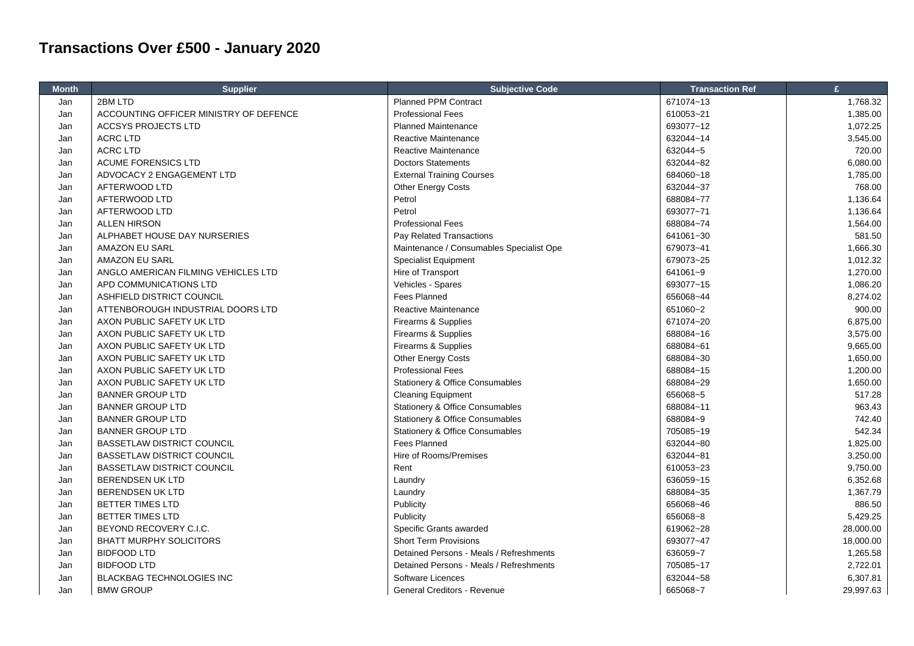## **Transactions Over £500 - January 2020**

| <b>Month</b> | <b>Supplier</b>                        | <b>Subjective Code</b>                     | <b>Transaction Ref</b> | £         |
|--------------|----------------------------------------|--------------------------------------------|------------------------|-----------|
| Jan          | 2BM LTD                                | <b>Planned PPM Contract</b>                | 671074~13              | 1,768.32  |
| Jan          | ACCOUNTING OFFICER MINISTRY OF DEFENCE | <b>Professional Fees</b>                   | 610053~21              | 1,385.00  |
| Jan          | <b>ACCSYS PROJECTS LTD</b>             | <b>Planned Maintenance</b>                 | 693077~12              | 1,072.25  |
| Jan          | <b>ACRC LTD</b>                        | Reactive Maintenance                       | 632044~14              | 3,545.00  |
| Jan          | <b>ACRC LTD</b>                        | Reactive Maintenance                       | 632044~5               | 720.00    |
| Jan          | ACUME FORENSICS LTD                    | <b>Doctors Statements</b>                  | 632044~82              | 6,080.00  |
| Jan          | ADVOCACY 2 ENGAGEMENT LTD              | <b>External Training Courses</b>           | 684060~18              | 1,785.00  |
| Jan          | AFTERWOOD LTD                          | Other Energy Costs                         | 632044~37              | 768.00    |
| Jan          | AFTERWOOD LTD                          | Petrol                                     | 688084~77              | 1,136.64  |
| Jan          | AFTERWOOD LTD                          | Petrol                                     | 693077~71              | 1,136.64  |
| Jan          | <b>ALLEN HIRSON</b>                    | <b>Professional Fees</b>                   | 688084~74              | 1,564.00  |
| Jan          | ALPHABET HOUSE DAY NURSERIES           | Pay Related Transactions                   | 641061~30              | 581.50    |
| Jan          | AMAZON EU SARL                         | Maintenance / Consumables Specialist Ope   | 679073~41              | 1,666.30  |
| Jan          | AMAZON EU SARL                         | <b>Specialist Equipment</b>                | 679073~25              | 1,012.32  |
| Jan          | ANGLO AMERICAN FILMING VEHICLES LTD    | Hire of Transport                          | 641061~9               | 1,270.00  |
| Jan          | APD COMMUNICATIONS LTD                 | Vehicles - Spares                          | 693077~15              | 1,086.20  |
| Jan          | ASHFIELD DISTRICT COUNCIL              | <b>Fees Planned</b>                        | 656068~44              | 8,274.02  |
| Jan          | ATTENBOROUGH INDUSTRIAL DOORS LTD      | Reactive Maintenance                       | 651060~2               | 900.00    |
| Jan          | AXON PUBLIC SAFETY UK LTD              | Firearms & Supplies                        | 671074~20              | 6,875.00  |
| Jan          | AXON PUBLIC SAFETY UK LTD              | Firearms & Supplies                        | 688084~16              | 3,575.00  |
| Jan          | AXON PUBLIC SAFETY UK LTD              | Firearms & Supplies                        | 688084~61              | 9,665.00  |
| Jan          | AXON PUBLIC SAFETY UK LTD              | <b>Other Energy Costs</b>                  | 688084~30              | 1,650.00  |
| Jan          | AXON PUBLIC SAFETY UK LTD              | <b>Professional Fees</b>                   | 688084~15              | 1,200.00  |
| Jan          | AXON PUBLIC SAFETY UK LTD              | <b>Stationery &amp; Office Consumables</b> | 688084~29              | 1,650.00  |
| Jan          | <b>BANNER GROUP LTD</b>                | <b>Cleaning Equipment</b>                  | 656068~5               | 517.28    |
| Jan          | <b>BANNER GROUP LTD</b>                | <b>Stationery &amp; Office Consumables</b> | 688084~11              | 963.43    |
| Jan          | <b>BANNER GROUP LTD</b>                | Stationery & Office Consumables            | 688084~9               | 742.40    |
| Jan          | <b>BANNER GROUP LTD</b>                | <b>Stationery &amp; Office Consumables</b> | 705085~19              | 542.34    |
| Jan          | <b>BASSETLAW DISTRICT COUNCIL</b>      | <b>Fees Planned</b>                        | 632044~80              | 1,825.00  |
| Jan          | <b>BASSETLAW DISTRICT COUNCIL</b>      | Hire of Rooms/Premises                     | 632044~81              | 3,250.00  |
| Jan          | <b>BASSETLAW DISTRICT COUNCIL</b>      | Rent                                       | 610053~23              | 9,750.00  |
| Jan          | <b>BERENDSEN UK LTD</b>                | Laundry                                    | 636059~15              | 6,352.68  |
| Jan          | BERENDSEN UK LTD                       | Laundry                                    | 688084~35              | 1,367.79  |
| Jan          | <b>BETTER TIMES LTD</b>                | Publicity                                  | 656068~46              | 886.50    |
| Jan          | <b>BETTER TIMES LTD</b>                | Publicity                                  | 656068~8               | 5,429.25  |
| Jan          | BEYOND RECOVERY C.I.C.                 | Specific Grants awarded                    | 619062~28              | 28,000.00 |
| Jan          | <b>BHATT MURPHY SOLICITORS</b>         | <b>Short Term Provisions</b>               | 693077~47              | 18,000.00 |
| Jan          | <b>BIDFOOD LTD</b>                     | Detained Persons - Meals / Refreshments    | 636059~7               | 1,265.58  |
| Jan          | <b>BIDFOOD LTD</b>                     | Detained Persons - Meals / Refreshments    | 705085~17              | 2,722.01  |
| Jan          | <b>BLACKBAG TECHNOLOGIES INC</b>       | Software Licences                          | 632044~58              | 6,307.81  |
| Jan          | <b>BMW GROUP</b>                       | General Creditors - Revenue                | 665068~7               | 29,997.63 |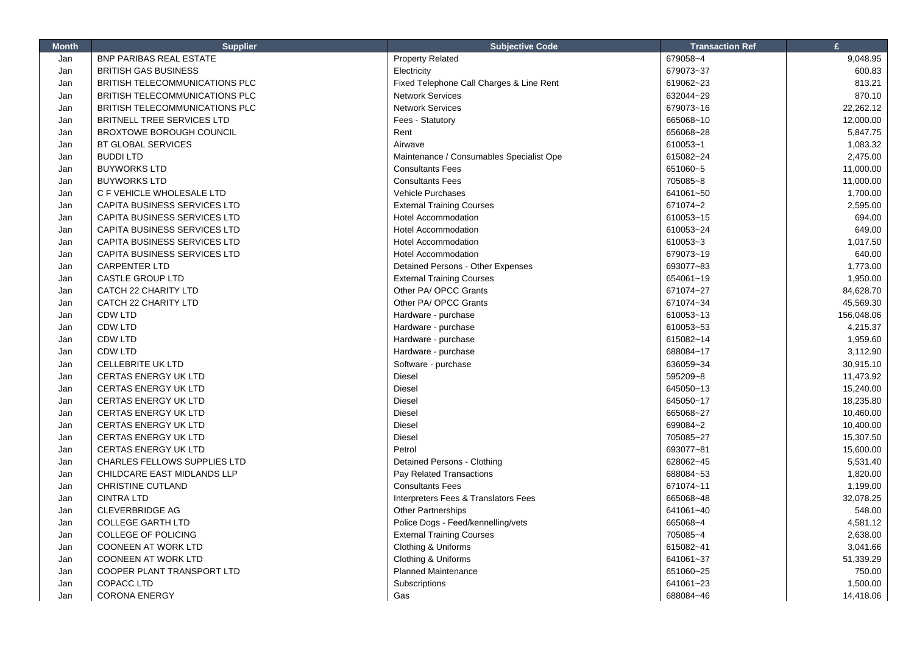| <b>Month</b> | <b>Supplier</b>                     | <b>Subjective Code</b>                   | <b>Transaction Ref</b> | £          |
|--------------|-------------------------------------|------------------------------------------|------------------------|------------|
| Jan          | BNP PARIBAS REAL ESTATE             | <b>Property Related</b>                  | 679058~4               | 9,048.95   |
| Jan          | <b>BRITISH GAS BUSINESS</b>         | Electricity                              | 679073~37              | 600.83     |
| Jan          | BRITISH TELECOMMUNICATIONS PLC      | Fixed Telephone Call Charges & Line Rent | 619062~23              | 813.21     |
| Jan          | BRITISH TELECOMMUNICATIONS PLC      | <b>Network Services</b>                  | 632044~29              | 870.10     |
| Jan          | BRITISH TELECOMMUNICATIONS PLC      | <b>Network Services</b>                  | 679073~16              | 22,262.12  |
| Jan          | <b>BRITNELL TREE SERVICES LTD</b>   | Fees - Statutory                         | 665068~10              | 12,000.00  |
| Jan          | <b>BROXTOWE BOROUGH COUNCIL</b>     | Rent                                     | 656068~28              | 5,847.75   |
| Jan          | <b>BT GLOBAL SERVICES</b>           | Airwave                                  | 610053~1               | 1,083.32   |
| Jan          | <b>BUDDILTD</b>                     | Maintenance / Consumables Specialist Ope | 615082~24              | 2,475.00   |
| Jan          | <b>BUYWORKS LTD</b>                 | <b>Consultants Fees</b>                  | 651060~5               | 11,000.00  |
| Jan          | <b>BUYWORKS LTD</b>                 | <b>Consultants Fees</b>                  | 705085~8               | 11,000.00  |
| Jan          | C F VEHICLE WHOLESALE LTD           | <b>Vehicle Purchases</b>                 | 641061~50              | 1,700.00   |
| Jan          | CAPITA BUSINESS SERVICES LTD        | <b>External Training Courses</b>         | 671074~2               | 2,595.00   |
| Jan          | CAPITA BUSINESS SERVICES LTD        | <b>Hotel Accommodation</b>               | 610053~15              | 694.00     |
| Jan          | CAPITA BUSINESS SERVICES LTD        | <b>Hotel Accommodation</b>               | 610053~24              | 649.00     |
| Jan          | CAPITA BUSINESS SERVICES LTD        | <b>Hotel Accommodation</b>               | 610053~3               | 1,017.50   |
| Jan          | CAPITA BUSINESS SERVICES LTD        | <b>Hotel Accommodation</b>               | 679073~19              | 640.00     |
| Jan          | <b>CARPENTER LTD</b>                | Detained Persons - Other Expenses        | 693077~83              | 1,773.00   |
| Jan          | <b>CASTLE GROUP LTD</b>             | <b>External Training Courses</b>         | 654061~19              | 1,950.00   |
| Jan          | CATCH 22 CHARITY LTD                | Other PA/ OPCC Grants                    | 671074~27              | 84,628.70  |
| Jan          | CATCH 22 CHARITY LTD                | Other PA/ OPCC Grants                    | 671074~34              | 45,569.30  |
| Jan          | <b>CDW LTD</b>                      | Hardware - purchase                      | 610053~13              | 156,048.06 |
| Jan          | <b>CDW LTD</b>                      | Hardware - purchase                      | 610053~53              | 4,215.37   |
| Jan          | <b>CDW LTD</b>                      | Hardware - purchase                      | 615082~14              | 1,959.60   |
| Jan          | <b>CDW LTD</b>                      | Hardware - purchase                      | 688084~17              | 3,112.90   |
| Jan          | CELLEBRITE UK LTD                   | Software - purchase                      | 636059~34              | 30,915.10  |
| Jan          | CERTAS ENERGY UK LTD                | <b>Diesel</b>                            | 595209~8               | 11,473.92  |
| Jan          | <b>CERTAS ENERGY UK LTD</b>         | Diesel                                   | 645050~13              | 15,240.00  |
| Jan          | CERTAS ENERGY UK LTD                | Diesel                                   | 645050~17              | 18,235.80  |
| Jan          | <b>CERTAS ENERGY UK LTD</b>         | Diesel                                   | 665068~27              | 10,460.00  |
| Jan          | CERTAS ENERGY UK LTD                | Diesel                                   | 699084~2               | 10,400.00  |
| Jan          | <b>CERTAS ENERGY UK LTD</b>         | <b>Diesel</b>                            | 705085~27              | 15,307.50  |
| Jan          | CERTAS ENERGY UK LTD                | Petrol                                   | 693077~81              | 15,600.00  |
| Jan          | <b>CHARLES FELLOWS SUPPLIES LTD</b> | Detained Persons - Clothing              | 628062~45              | 5,531.40   |
| Jan          | CHILDCARE EAST MIDLANDS LLP         | Pay Related Transactions                 | 688084~53              | 1,820.00   |
| Jan          | CHRISTINE CUTLAND                   | <b>Consultants Fees</b>                  | 671074~11              | 1,199.00   |
| Jan          | <b>CINTRA LTD</b>                   | Interpreters Fees & Translators Fees     | 665068~48              | 32,078.25  |
| Jan          | <b>CLEVERBRIDGE AG</b>              | <b>Other Partnerships</b>                | 641061~40              | 548.00     |
| Jan          | <b>COLLEGE GARTH LTD</b>            | Police Dogs - Feed/kennelling/vets       | 665068~4               | 4,581.12   |
| Jan          | COLLEGE OF POLICING                 | <b>External Training Courses</b>         | 705085~4               | 2,638.00   |
| Jan          | <b>COONEEN AT WORK LTD</b>          | Clothing & Uniforms                      | 615082~41              | 3,041.66   |
| Jan          | <b>COONEEN AT WORK LTD</b>          | Clothing & Uniforms                      | 641061~37              | 51,339.29  |
| Jan          | COOPER PLANT TRANSPORT LTD          | <b>Planned Maintenance</b>               | 651060~25              | 750.00     |
| Jan          | <b>COPACC LTD</b>                   | Subscriptions                            | 641061~23              | 1,500.00   |
| Jan          | <b>CORONA ENERGY</b>                | Gas                                      | 688084~46              | 14,418.06  |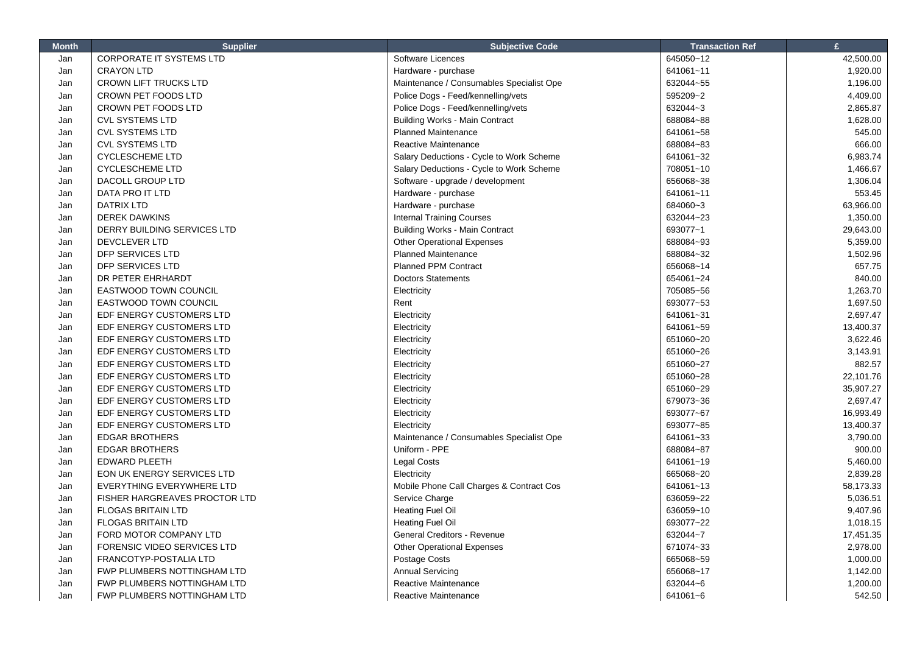| <b>Month</b> | <b>Supplier</b>                  | <b>Subjective Code</b>                   | <b>Transaction Ref</b> | £         |
|--------------|----------------------------------|------------------------------------------|------------------------|-----------|
| Jan          | <b>CORPORATE IT SYSTEMS LTD</b>  | Software Licences                        | 645050~12              | 42,500.00 |
| Jan          | <b>CRAYON LTD</b>                | Hardware - purchase                      | 641061~11              | 1,920.00  |
| Jan          | <b>CROWN LIFT TRUCKS LTD</b>     | Maintenance / Consumables Specialist Ope | 632044~55              | 1,196.00  |
| Jan          | <b>CROWN PET FOODS LTD</b>       | Police Dogs - Feed/kennelling/vets       | 595209~2               | 4,409.00  |
| Jan          | CROWN PET FOODS LTD              | Police Dogs - Feed/kennelling/vets       | 632044~3               | 2,865.87  |
| Jan          | <b>CVL SYSTEMS LTD</b>           | <b>Building Works - Main Contract</b>    | 688084~88              | 1,628.00  |
| Jan          | CVL SYSTEMS LTD                  | <b>Planned Maintenance</b>               | 641061~58              | 545.00    |
| Jan          | <b>CVL SYSTEMS LTD</b>           | Reactive Maintenance                     | 688084~83              | 666.00    |
| Jan          | <b>CYCLESCHEME LTD</b>           | Salary Deductions - Cycle to Work Scheme | 641061~32              | 6,983.74  |
| Jan          | <b>CYCLESCHEME LTD</b>           | Salary Deductions - Cycle to Work Scheme | 708051~10              | 1,466.67  |
| Jan          | DACOLL GROUP LTD                 | Software - upgrade / development         | 656068~38              | 1,306.04  |
| Jan          | DATA PRO IT LTD                  | Hardware - purchase                      | 641061~11              | 553.45    |
| Jan          | DATRIX LTD                       | Hardware - purchase                      | 684060~3               | 63,966.00 |
| Jan          | <b>DEREK DAWKINS</b>             | <b>Internal Training Courses</b>         | 632044~23              | 1,350.00  |
| Jan          | DERRY BUILDING SERVICES LTD      | <b>Building Works - Main Contract</b>    | 693077~1               | 29,643.00 |
| Jan          | DEVCLEVER LTD                    | <b>Other Operational Expenses</b>        | 688084~93              | 5,359.00  |
| Jan          | DFP SERVICES LTD                 | <b>Planned Maintenance</b>               | 688084~32              | 1,502.96  |
| Jan          | <b>DFP SERVICES LTD</b>          | <b>Planned PPM Contract</b>              | 656068~14              | 657.75    |
| Jan          | DR PETER EHRHARDT                | <b>Doctors Statements</b>                | 654061~24              | 840.00    |
| Jan          | <b>EASTWOOD TOWN COUNCIL</b>     | Electricity                              | 705085~56              | 1,263.70  |
| Jan          | EASTWOOD TOWN COUNCIL            | Rent                                     | 693077~53              | 1,697.50  |
| Jan          | EDF ENERGY CUSTOMERS LTD         | Electricity                              | 641061~31              | 2,697.47  |
| Jan          | EDF ENERGY CUSTOMERS LTD         | Electricity                              | 641061~59              | 13,400.37 |
| Jan          | EDF ENERGY CUSTOMERS LTD         | Electricity                              | 651060~20              | 3,622.46  |
| Jan          | EDF ENERGY CUSTOMERS LTD         | Electricity                              | 651060~26              | 3,143.91  |
| Jan          | EDF ENERGY CUSTOMERS LTD         | Electricity                              | 651060~27              | 882.57    |
| Jan          | EDF ENERGY CUSTOMERS LTD         | Electricity                              | 651060~28              | 22,101.76 |
| Jan          | EDF ENERGY CUSTOMERS LTD         | Electricity                              | 651060~29              | 35,907.27 |
| Jan          | EDF ENERGY CUSTOMERS LTD         | Electricity                              | 679073~36              | 2,697.47  |
| Jan          | EDF ENERGY CUSTOMERS LTD         | Electricity                              | 693077~67              | 16,993.49 |
| Jan          | EDF ENERGY CUSTOMERS LTD         | Electricity                              | 693077~85              | 13,400.37 |
| Jan          | <b>EDGAR BROTHERS</b>            | Maintenance / Consumables Specialist Ope | 641061~33              | 3,790.00  |
| Jan          | <b>EDGAR BROTHERS</b>            | Uniform - PPE                            | 688084~87              | 900.00    |
| Jan          | <b>EDWARD PLEETH</b>             | Legal Costs                              | 641061~19              | 5,460.00  |
| Jan          | EON UK ENERGY SERVICES LTD       | Electricity                              | 665068~20              | 2,839.28  |
| Jan          | <b>EVERYTHING EVERYWHERE LTD</b> | Mobile Phone Call Charges & Contract Cos | 641061~13              | 58,173.33 |
| Jan          | FISHER HARGREAVES PROCTOR LTD    | Service Charge                           | 636059~22              | 5,036.51  |
| Jan          | <b>FLOGAS BRITAIN LTD</b>        | <b>Heating Fuel Oil</b>                  | 636059~10              | 9,407.96  |
| Jan          | <b>FLOGAS BRITAIN LTD</b>        | Heating Fuel Oil                         | 693077~22              | 1,018.15  |
| Jan          | FORD MOTOR COMPANY LTD           | General Creditors - Revenue              | 632044~7               | 17,451.35 |
| Jan          | FORENSIC VIDEO SERVICES LTD      | <b>Other Operational Expenses</b>        | 671074~33              | 2,978.00  |
| Jan          | <b>FRANCOTYP-POSTALIA LTD</b>    | Postage Costs                            | 665068~59              | 1,000.00  |
| Jan          | FWP PLUMBERS NOTTINGHAM LTD      | <b>Annual Servicing</b>                  | 656068~17              | 1,142.00  |
| Jan          | FWP PLUMBERS NOTTINGHAM LTD      | Reactive Maintenance                     | 632044~6               | 1,200.00  |
| Jan          | FWP PLUMBERS NOTTINGHAM LTD      | Reactive Maintenance                     | 641061~6               | 542.50    |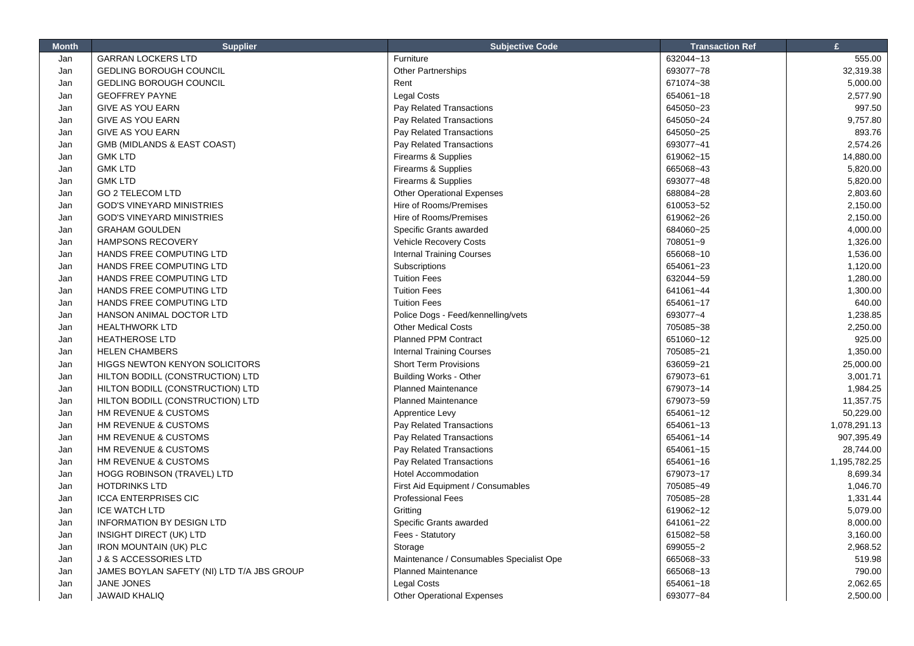| <b>Month</b> | <b>Supplier</b>                            | <b>Subjective Code</b>                   | <b>Transaction Ref</b> | $\mathbf{f}$ |
|--------------|--------------------------------------------|------------------------------------------|------------------------|--------------|
| Jan          | <b>GARRAN LOCKERS LTD</b>                  | Furniture                                | 632044~13              | 555.00       |
| Jan          | <b>GEDLING BOROUGH COUNCIL</b>             | Other Partnerships                       | 693077~78              | 32,319.38    |
| Jan          | <b>GEDLING BOROUGH COUNCIL</b>             | Rent                                     | 671074~38              | 5,000.00     |
| Jan          | <b>GEOFFREY PAYNE</b>                      | Legal Costs                              | 654061~18              | 2,577.90     |
| Jan          | <b>GIVE AS YOU EARN</b>                    | Pay Related Transactions                 | 645050~23              | 997.50       |
| Jan          | <b>GIVE AS YOU EARN</b>                    | Pay Related Transactions                 | 645050~24              | 9,757.80     |
| Jan          | <b>GIVE AS YOU EARN</b>                    | Pay Related Transactions                 | 645050~25              | 893.76       |
| Jan          | GMB (MIDLANDS & EAST COAST)                | Pay Related Transactions                 | 693077~41              | 2,574.26     |
| Jan          | <b>GMK LTD</b>                             | Firearms & Supplies                      | 619062~15              | 14,880.00    |
| Jan          | <b>GMK LTD</b>                             | Firearms & Supplies                      | 665068~43              | 5,820.00     |
| Jan          | <b>GMK LTD</b>                             | Firearms & Supplies                      | 693077~48              | 5,820.00     |
| Jan          | <b>GO 2 TELECOM LTD</b>                    | <b>Other Operational Expenses</b>        | 688084~28              | 2,803.60     |
| Jan          | <b>GOD'S VINEYARD MINISTRIES</b>           | Hire of Rooms/Premises                   | 610053~52              | 2,150.00     |
| Jan          | <b>GOD'S VINEYARD MINISTRIES</b>           | Hire of Rooms/Premises                   | 619062~26              | 2,150.00     |
| Jan          | <b>GRAHAM GOULDEN</b>                      | Specific Grants awarded                  | 684060~25              | 4,000.00     |
| Jan          | <b>HAMPSONS RECOVERY</b>                   | Vehicle Recovery Costs                   | 708051~9               | 1,326.00     |
| Jan          | HANDS FREE COMPUTING LTD                   | <b>Internal Training Courses</b>         | 656068~10              | 1,536.00     |
| Jan          | HANDS FREE COMPUTING LTD                   | Subscriptions                            | 654061~23              | 1,120.00     |
| Jan          | HANDS FREE COMPUTING LTD                   | <b>Tuition Fees</b>                      | 632044~59              | 1,280.00     |
| Jan          | HANDS FREE COMPUTING LTD                   | <b>Tuition Fees</b>                      | 641061~44              | 1,300.00     |
| Jan          | HANDS FREE COMPUTING LTD                   | <b>Tuition Fees</b>                      | 654061~17              | 640.00       |
| Jan          | HANSON ANIMAL DOCTOR LTD                   | Police Dogs - Feed/kennelling/vets       | 693077~4               | 1,238.85     |
| Jan          | <b>HEALTHWORK LTD</b>                      | <b>Other Medical Costs</b>               | 705085~38              | 2,250.00     |
| Jan          | <b>HEATHEROSE LTD</b>                      | <b>Planned PPM Contract</b>              | 651060~12              | 925.00       |
| Jan          | <b>HELEN CHAMBERS</b>                      | <b>Internal Training Courses</b>         | 705085~21              | 1,350.00     |
| Jan          | <b>HIGGS NEWTON KENYON SOLICITORS</b>      | <b>Short Term Provisions</b>             | 636059~21              | 25,000.00    |
| Jan          | HILTON BODILL (CONSTRUCTION) LTD           | <b>Building Works - Other</b>            | 679073~61              | 3,001.71     |
| Jan          | HILTON BODILL (CONSTRUCTION) LTD           | <b>Planned Maintenance</b>               | 679073~14              | 1,984.25     |
| Jan          | HILTON BODILL (CONSTRUCTION) LTD           | <b>Planned Maintenance</b>               | 679073~59              | 11,357.75    |
| Jan          | HM REVENUE & CUSTOMS                       | Apprentice Levy                          | 654061~12              | 50,229.00    |
| Jan          | HM REVENUE & CUSTOMS                       | Pay Related Transactions                 | 654061~13              | 1,078,291.13 |
| Jan          | HM REVENUE & CUSTOMS                       | Pay Related Transactions                 | 654061~14              | 907,395.49   |
| Jan          | HM REVENUE & CUSTOMS                       | Pay Related Transactions                 | 654061~15              | 28,744.00    |
| Jan          | HM REVENUE & CUSTOMS                       | Pay Related Transactions                 | 654061~16              | 1,195,782.25 |
| Jan          | <b>HOGG ROBINSON (TRAVEL) LTD</b>          | <b>Hotel Accommodation</b>               | 679073~17              | 8,699.34     |
| Jan          | <b>HOTDRINKS LTD</b>                       | First Aid Equipment / Consumables        | 705085~49              | 1,046.70     |
| Jan          | <b>ICCA ENTERPRISES CIC</b>                | <b>Professional Fees</b>                 | 705085~28              | 1,331.44     |
| Jan          | <b>ICE WATCH LTD</b>                       | Gritting                                 | 619062~12              | 5,079.00     |
| Jan          | <b>INFORMATION BY DESIGN LTD</b>           | Specific Grants awarded                  | 641061~22              | 8,000.00     |
| Jan          | INSIGHT DIRECT (UK) LTD                    | Fees - Statutory                         | 615082~58              | 3,160.00     |
| Jan          | <b>IRON MOUNTAIN (UK) PLC</b>              | Storage                                  | 699055~2               | 2,968.52     |
| Jan          | J & S ACCESSORIES LTD                      | Maintenance / Consumables Specialist Ope | 665068~33              | 519.98       |
| Jan          | JAMES BOYLAN SAFETY (NI) LTD T/A JBS GROUP | <b>Planned Maintenance</b>               | 665068~13              | 790.00       |
| Jan          | <b>JANE JONES</b>                          | <b>Legal Costs</b>                       | 654061~18              | 2,062.65     |
| Jan          | <b>JAWAID KHALIQ</b>                       | <b>Other Operational Expenses</b>        | 693077~84              | 2,500.00     |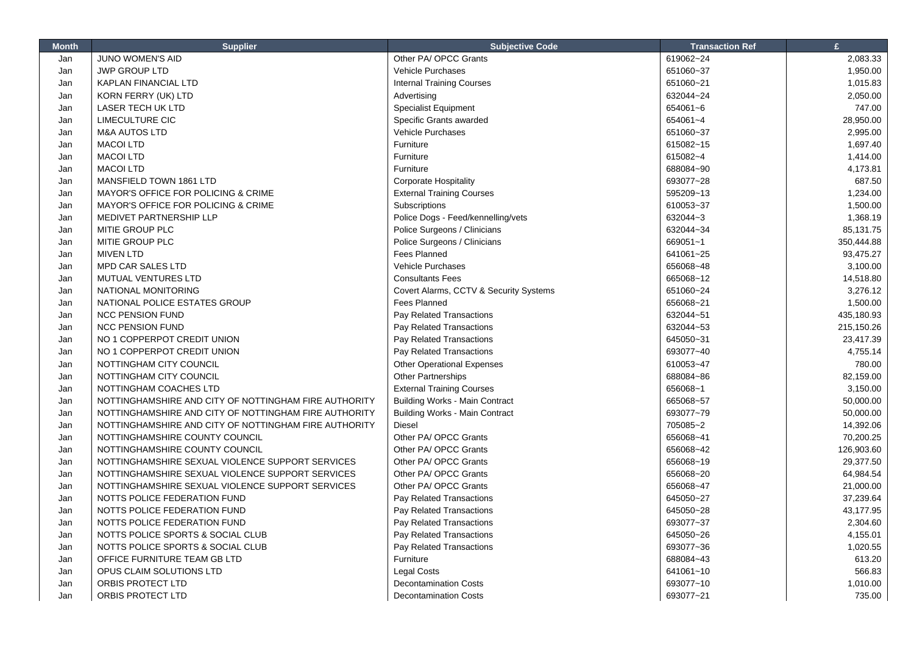| JUNO WOMEN'S AID<br>Other PA/ OPCC Grants<br>619062~24<br>2,083.33<br>Jan<br>651060~37<br>Jan<br><b>JWP GROUP LTD</b><br><b>Vehicle Purchases</b><br>1,950.00<br>Jan<br><b>KAPLAN FINANCIAL LTD</b><br><b>Internal Training Courses</b><br>651060~21<br>1,015.83<br>Jan<br>KORN FERRY (UK) LTD<br>632044~24<br>2,050.00<br>Advertising<br><b>LASER TECH UK LTD</b><br><b>Specialist Equipment</b><br>654061~6<br>747.00<br>Jan<br><b>LIMECULTURE CIC</b><br>Specific Grants awarded<br>654061~4<br>28,950.00<br>Jan<br><b>Vehicle Purchases</b><br>2,995.00<br>Jan<br><b>M&amp;A AUTOS LTD</b><br>651060~37<br>Furniture<br>1,697.40<br>Jan<br><b>MACOI LTD</b><br>615082~15<br>Furniture<br>Jan<br><b>MACOI LTD</b><br>615082~4<br>1,414.00<br><b>MACOI LTD</b><br>Furniture<br>688084~90<br>4,173.81<br>Jan<br>693077~28<br>687.50<br>Jan<br>MANSFIELD TOWN 1861 LTD<br><b>Corporate Hospitality</b><br>MAYOR'S OFFICE FOR POLICING & CRIME<br><b>External Training Courses</b><br>595209~13<br>1,234.00<br>Jan<br>1,500.00<br>Jan<br>MAYOR'S OFFICE FOR POLICING & CRIME<br>Subscriptions<br>610053~37<br>1,368.19<br>MEDIVET PARTNERSHIP LLP<br>Police Dogs - Feed/kennelling/vets<br>632044~3<br>Jan<br>Jan<br>MITIE GROUP PLC<br>Police Surgeons / Clinicians<br>632044~34<br>85,131.75<br>Jan<br>MITIE GROUP PLC<br>Police Surgeons / Clinicians<br>669051~1<br>350,444.88<br>93,475.27<br>Jan<br><b>MIVEN LTD</b><br>Fees Planned<br>641061~25<br><b>Vehicle Purchases</b><br>656068~48<br>Jan<br><b>MPD CAR SALES LTD</b><br>3,100.00<br>Jan<br>MUTUAL VENTURES LTD<br><b>Consultants Fees</b><br>665068~12<br>14,518.80<br>Covert Alarms, CCTV & Security Systems<br>651060~24<br>3,276.12<br>Jan<br>NATIONAL MONITORING<br>Jan<br>NATIONAL POLICE ESTATES GROUP<br>Fees Planned<br>656068~21<br>1,500.00<br><b>NCC PENSION FUND</b><br>Pay Related Transactions<br>632044~51<br>435,180.93<br>Jan<br><b>NCC PENSION FUND</b><br>Pay Related Transactions<br>632044~53<br>215,150.26<br>Jan<br>Pay Related Transactions<br>645050~31<br>23,417.39<br>Jan<br>NO 1 COPPERPOT CREDIT UNION<br>4,755.14<br>NO 1 COPPERPOT CREDIT UNION<br>Pay Related Transactions<br>693077~40<br>Jan<br>NOTTINGHAM CITY COUNCIL<br><b>Other Operational Expenses</b><br>610053~47<br>780.00<br>Jan<br>NOTTINGHAM CITY COUNCIL<br>Jan<br><b>Other Partnerships</b><br>688084~86<br>82,159.00<br><b>External Training Courses</b><br>Jan<br>NOTTINGHAM COACHES LTD<br>656068~1<br>3,150.00<br>Jan<br><b>Building Works - Main Contract</b><br>665068~57<br>50,000.00<br>NOTTINGHAMSHIRE AND CITY OF NOTTINGHAM FIRE AUTHORITY<br>Jan<br>NOTTINGHAMSHIRE AND CITY OF NOTTINGHAM FIRE AUTHORITY<br><b>Building Works - Main Contract</b><br>693077~79<br>50,000.00<br>705085~2<br>14,392.06<br>Jan<br>NOTTINGHAMSHIRE AND CITY OF NOTTINGHAM FIRE AUTHORITY<br>Diesel<br>Other PA/ OPCC Grants<br>Jan<br>NOTTINGHAMSHIRE COUNTY COUNCIL<br>656068~41<br>70,200.25<br>Other PA/ OPCC Grants<br>656068~42<br>126,903.60<br>Jan<br>NOTTINGHAMSHIRE COUNTY COUNCIL<br>29,377.50<br>Jan<br>NOTTINGHAMSHIRE SEXUAL VIOLENCE SUPPORT SERVICES<br>Other PA/ OPCC Grants<br>656068~19<br>Other PA/ OPCC Grants<br>656068~20<br>64,984.54<br>Jan<br>NOTTINGHAMSHIRE SEXUAL VIOLENCE SUPPORT SERVICES<br>Other PA/ OPCC Grants<br>656068~47<br>21,000.00<br>Jan<br>NOTTINGHAMSHIRE SEXUAL VIOLENCE SUPPORT SERVICES<br>NOTTS POLICE FEDERATION FUND<br>Pay Related Transactions<br>645050~27<br>37,239.64<br>Jan<br>Pay Related Transactions<br>645050~28<br>43,177.95<br>Jan<br>NOTTS POLICE FEDERATION FUND<br>NOTTS POLICE FEDERATION FUND<br>Pay Related Transactions<br>693077~37<br>2,304.60<br>Jan<br>Jan<br>Pay Related Transactions<br>645050~26<br>4,155.01<br>NOTTS POLICE SPORTS & SOCIAL CLUB<br>Jan<br>NOTTS POLICE SPORTS & SOCIAL CLUB<br>Pay Related Transactions<br>693077~36<br>1,020.55<br>Jan<br>OFFICE FURNITURE TEAM GB LTD<br>Furniture<br>688084~43<br>613.20<br><b>Legal Costs</b><br>566.83<br>Jan<br>OPUS CLAIM SOLUTIONS LTD<br>641061~10 | <b>Month</b> | <b>Supplier</b>   | <b>Subjective Code</b>       | <b>Transaction Ref</b> | £        |
|-------------------------------------------------------------------------------------------------------------------------------------------------------------------------------------------------------------------------------------------------------------------------------------------------------------------------------------------------------------------------------------------------------------------------------------------------------------------------------------------------------------------------------------------------------------------------------------------------------------------------------------------------------------------------------------------------------------------------------------------------------------------------------------------------------------------------------------------------------------------------------------------------------------------------------------------------------------------------------------------------------------------------------------------------------------------------------------------------------------------------------------------------------------------------------------------------------------------------------------------------------------------------------------------------------------------------------------------------------------------------------------------------------------------------------------------------------------------------------------------------------------------------------------------------------------------------------------------------------------------------------------------------------------------------------------------------------------------------------------------------------------------------------------------------------------------------------------------------------------------------------------------------------------------------------------------------------------------------------------------------------------------------------------------------------------------------------------------------------------------------------------------------------------------------------------------------------------------------------------------------------------------------------------------------------------------------------------------------------------------------------------------------------------------------------------------------------------------------------------------------------------------------------------------------------------------------------------------------------------------------------------------------------------------------------------------------------------------------------------------------------------------------------------------------------------------------------------------------------------------------------------------------------------------------------------------------------------------------------------------------------------------------------------------------------------------------------------------------------------------------------------------------------------------------------------------------------------------------------------------------------------------------------------------------------------------------------------------------------------------------------------------------------------------------------------------------------------------------------------------------------------------------------------------------------------------------------------------------------------------------------------------------------------------------------------------------------------------------------------------------------------------------------------------------------------------------------------------------------------------------------------------------------------------------------------------------------------------------------------------------------------------------------------------------|--------------|-------------------|------------------------------|------------------------|----------|
|                                                                                                                                                                                                                                                                                                                                                                                                                                                                                                                                                                                                                                                                                                                                                                                                                                                                                                                                                                                                                                                                                                                                                                                                                                                                                                                                                                                                                                                                                                                                                                                                                                                                                                                                                                                                                                                                                                                                                                                                                                                                                                                                                                                                                                                                                                                                                                                                                                                                                                                                                                                                                                                                                                                                                                                                                                                                                                                                                                                                                                                                                                                                                                                                                                                                                                                                                                                                                                                                                                                                                                                                                                                                                                                                                                                                                                                                                                                                                                                                                                                 |              |                   |                              |                        |          |
|                                                                                                                                                                                                                                                                                                                                                                                                                                                                                                                                                                                                                                                                                                                                                                                                                                                                                                                                                                                                                                                                                                                                                                                                                                                                                                                                                                                                                                                                                                                                                                                                                                                                                                                                                                                                                                                                                                                                                                                                                                                                                                                                                                                                                                                                                                                                                                                                                                                                                                                                                                                                                                                                                                                                                                                                                                                                                                                                                                                                                                                                                                                                                                                                                                                                                                                                                                                                                                                                                                                                                                                                                                                                                                                                                                                                                                                                                                                                                                                                                                                 |              |                   |                              |                        |          |
|                                                                                                                                                                                                                                                                                                                                                                                                                                                                                                                                                                                                                                                                                                                                                                                                                                                                                                                                                                                                                                                                                                                                                                                                                                                                                                                                                                                                                                                                                                                                                                                                                                                                                                                                                                                                                                                                                                                                                                                                                                                                                                                                                                                                                                                                                                                                                                                                                                                                                                                                                                                                                                                                                                                                                                                                                                                                                                                                                                                                                                                                                                                                                                                                                                                                                                                                                                                                                                                                                                                                                                                                                                                                                                                                                                                                                                                                                                                                                                                                                                                 |              |                   |                              |                        |          |
|                                                                                                                                                                                                                                                                                                                                                                                                                                                                                                                                                                                                                                                                                                                                                                                                                                                                                                                                                                                                                                                                                                                                                                                                                                                                                                                                                                                                                                                                                                                                                                                                                                                                                                                                                                                                                                                                                                                                                                                                                                                                                                                                                                                                                                                                                                                                                                                                                                                                                                                                                                                                                                                                                                                                                                                                                                                                                                                                                                                                                                                                                                                                                                                                                                                                                                                                                                                                                                                                                                                                                                                                                                                                                                                                                                                                                                                                                                                                                                                                                                                 |              |                   |                              |                        |          |
|                                                                                                                                                                                                                                                                                                                                                                                                                                                                                                                                                                                                                                                                                                                                                                                                                                                                                                                                                                                                                                                                                                                                                                                                                                                                                                                                                                                                                                                                                                                                                                                                                                                                                                                                                                                                                                                                                                                                                                                                                                                                                                                                                                                                                                                                                                                                                                                                                                                                                                                                                                                                                                                                                                                                                                                                                                                                                                                                                                                                                                                                                                                                                                                                                                                                                                                                                                                                                                                                                                                                                                                                                                                                                                                                                                                                                                                                                                                                                                                                                                                 |              |                   |                              |                        |          |
|                                                                                                                                                                                                                                                                                                                                                                                                                                                                                                                                                                                                                                                                                                                                                                                                                                                                                                                                                                                                                                                                                                                                                                                                                                                                                                                                                                                                                                                                                                                                                                                                                                                                                                                                                                                                                                                                                                                                                                                                                                                                                                                                                                                                                                                                                                                                                                                                                                                                                                                                                                                                                                                                                                                                                                                                                                                                                                                                                                                                                                                                                                                                                                                                                                                                                                                                                                                                                                                                                                                                                                                                                                                                                                                                                                                                                                                                                                                                                                                                                                                 |              |                   |                              |                        |          |
|                                                                                                                                                                                                                                                                                                                                                                                                                                                                                                                                                                                                                                                                                                                                                                                                                                                                                                                                                                                                                                                                                                                                                                                                                                                                                                                                                                                                                                                                                                                                                                                                                                                                                                                                                                                                                                                                                                                                                                                                                                                                                                                                                                                                                                                                                                                                                                                                                                                                                                                                                                                                                                                                                                                                                                                                                                                                                                                                                                                                                                                                                                                                                                                                                                                                                                                                                                                                                                                                                                                                                                                                                                                                                                                                                                                                                                                                                                                                                                                                                                                 |              |                   |                              |                        |          |
|                                                                                                                                                                                                                                                                                                                                                                                                                                                                                                                                                                                                                                                                                                                                                                                                                                                                                                                                                                                                                                                                                                                                                                                                                                                                                                                                                                                                                                                                                                                                                                                                                                                                                                                                                                                                                                                                                                                                                                                                                                                                                                                                                                                                                                                                                                                                                                                                                                                                                                                                                                                                                                                                                                                                                                                                                                                                                                                                                                                                                                                                                                                                                                                                                                                                                                                                                                                                                                                                                                                                                                                                                                                                                                                                                                                                                                                                                                                                                                                                                                                 |              |                   |                              |                        |          |
|                                                                                                                                                                                                                                                                                                                                                                                                                                                                                                                                                                                                                                                                                                                                                                                                                                                                                                                                                                                                                                                                                                                                                                                                                                                                                                                                                                                                                                                                                                                                                                                                                                                                                                                                                                                                                                                                                                                                                                                                                                                                                                                                                                                                                                                                                                                                                                                                                                                                                                                                                                                                                                                                                                                                                                                                                                                                                                                                                                                                                                                                                                                                                                                                                                                                                                                                                                                                                                                                                                                                                                                                                                                                                                                                                                                                                                                                                                                                                                                                                                                 |              |                   |                              |                        |          |
|                                                                                                                                                                                                                                                                                                                                                                                                                                                                                                                                                                                                                                                                                                                                                                                                                                                                                                                                                                                                                                                                                                                                                                                                                                                                                                                                                                                                                                                                                                                                                                                                                                                                                                                                                                                                                                                                                                                                                                                                                                                                                                                                                                                                                                                                                                                                                                                                                                                                                                                                                                                                                                                                                                                                                                                                                                                                                                                                                                                                                                                                                                                                                                                                                                                                                                                                                                                                                                                                                                                                                                                                                                                                                                                                                                                                                                                                                                                                                                                                                                                 |              |                   |                              |                        |          |
|                                                                                                                                                                                                                                                                                                                                                                                                                                                                                                                                                                                                                                                                                                                                                                                                                                                                                                                                                                                                                                                                                                                                                                                                                                                                                                                                                                                                                                                                                                                                                                                                                                                                                                                                                                                                                                                                                                                                                                                                                                                                                                                                                                                                                                                                                                                                                                                                                                                                                                                                                                                                                                                                                                                                                                                                                                                                                                                                                                                                                                                                                                                                                                                                                                                                                                                                                                                                                                                                                                                                                                                                                                                                                                                                                                                                                                                                                                                                                                                                                                                 |              |                   |                              |                        |          |
|                                                                                                                                                                                                                                                                                                                                                                                                                                                                                                                                                                                                                                                                                                                                                                                                                                                                                                                                                                                                                                                                                                                                                                                                                                                                                                                                                                                                                                                                                                                                                                                                                                                                                                                                                                                                                                                                                                                                                                                                                                                                                                                                                                                                                                                                                                                                                                                                                                                                                                                                                                                                                                                                                                                                                                                                                                                                                                                                                                                                                                                                                                                                                                                                                                                                                                                                                                                                                                                                                                                                                                                                                                                                                                                                                                                                                                                                                                                                                                                                                                                 |              |                   |                              |                        |          |
|                                                                                                                                                                                                                                                                                                                                                                                                                                                                                                                                                                                                                                                                                                                                                                                                                                                                                                                                                                                                                                                                                                                                                                                                                                                                                                                                                                                                                                                                                                                                                                                                                                                                                                                                                                                                                                                                                                                                                                                                                                                                                                                                                                                                                                                                                                                                                                                                                                                                                                                                                                                                                                                                                                                                                                                                                                                                                                                                                                                                                                                                                                                                                                                                                                                                                                                                                                                                                                                                                                                                                                                                                                                                                                                                                                                                                                                                                                                                                                                                                                                 |              |                   |                              |                        |          |
|                                                                                                                                                                                                                                                                                                                                                                                                                                                                                                                                                                                                                                                                                                                                                                                                                                                                                                                                                                                                                                                                                                                                                                                                                                                                                                                                                                                                                                                                                                                                                                                                                                                                                                                                                                                                                                                                                                                                                                                                                                                                                                                                                                                                                                                                                                                                                                                                                                                                                                                                                                                                                                                                                                                                                                                                                                                                                                                                                                                                                                                                                                                                                                                                                                                                                                                                                                                                                                                                                                                                                                                                                                                                                                                                                                                                                                                                                                                                                                                                                                                 |              |                   |                              |                        |          |
|                                                                                                                                                                                                                                                                                                                                                                                                                                                                                                                                                                                                                                                                                                                                                                                                                                                                                                                                                                                                                                                                                                                                                                                                                                                                                                                                                                                                                                                                                                                                                                                                                                                                                                                                                                                                                                                                                                                                                                                                                                                                                                                                                                                                                                                                                                                                                                                                                                                                                                                                                                                                                                                                                                                                                                                                                                                                                                                                                                                                                                                                                                                                                                                                                                                                                                                                                                                                                                                                                                                                                                                                                                                                                                                                                                                                                                                                                                                                                                                                                                                 |              |                   |                              |                        |          |
|                                                                                                                                                                                                                                                                                                                                                                                                                                                                                                                                                                                                                                                                                                                                                                                                                                                                                                                                                                                                                                                                                                                                                                                                                                                                                                                                                                                                                                                                                                                                                                                                                                                                                                                                                                                                                                                                                                                                                                                                                                                                                                                                                                                                                                                                                                                                                                                                                                                                                                                                                                                                                                                                                                                                                                                                                                                                                                                                                                                                                                                                                                                                                                                                                                                                                                                                                                                                                                                                                                                                                                                                                                                                                                                                                                                                                                                                                                                                                                                                                                                 |              |                   |                              |                        |          |
|                                                                                                                                                                                                                                                                                                                                                                                                                                                                                                                                                                                                                                                                                                                                                                                                                                                                                                                                                                                                                                                                                                                                                                                                                                                                                                                                                                                                                                                                                                                                                                                                                                                                                                                                                                                                                                                                                                                                                                                                                                                                                                                                                                                                                                                                                                                                                                                                                                                                                                                                                                                                                                                                                                                                                                                                                                                                                                                                                                                                                                                                                                                                                                                                                                                                                                                                                                                                                                                                                                                                                                                                                                                                                                                                                                                                                                                                                                                                                                                                                                                 |              |                   |                              |                        |          |
|                                                                                                                                                                                                                                                                                                                                                                                                                                                                                                                                                                                                                                                                                                                                                                                                                                                                                                                                                                                                                                                                                                                                                                                                                                                                                                                                                                                                                                                                                                                                                                                                                                                                                                                                                                                                                                                                                                                                                                                                                                                                                                                                                                                                                                                                                                                                                                                                                                                                                                                                                                                                                                                                                                                                                                                                                                                                                                                                                                                                                                                                                                                                                                                                                                                                                                                                                                                                                                                                                                                                                                                                                                                                                                                                                                                                                                                                                                                                                                                                                                                 |              |                   |                              |                        |          |
|                                                                                                                                                                                                                                                                                                                                                                                                                                                                                                                                                                                                                                                                                                                                                                                                                                                                                                                                                                                                                                                                                                                                                                                                                                                                                                                                                                                                                                                                                                                                                                                                                                                                                                                                                                                                                                                                                                                                                                                                                                                                                                                                                                                                                                                                                                                                                                                                                                                                                                                                                                                                                                                                                                                                                                                                                                                                                                                                                                                                                                                                                                                                                                                                                                                                                                                                                                                                                                                                                                                                                                                                                                                                                                                                                                                                                                                                                                                                                                                                                                                 |              |                   |                              |                        |          |
|                                                                                                                                                                                                                                                                                                                                                                                                                                                                                                                                                                                                                                                                                                                                                                                                                                                                                                                                                                                                                                                                                                                                                                                                                                                                                                                                                                                                                                                                                                                                                                                                                                                                                                                                                                                                                                                                                                                                                                                                                                                                                                                                                                                                                                                                                                                                                                                                                                                                                                                                                                                                                                                                                                                                                                                                                                                                                                                                                                                                                                                                                                                                                                                                                                                                                                                                                                                                                                                                                                                                                                                                                                                                                                                                                                                                                                                                                                                                                                                                                                                 |              |                   |                              |                        |          |
|                                                                                                                                                                                                                                                                                                                                                                                                                                                                                                                                                                                                                                                                                                                                                                                                                                                                                                                                                                                                                                                                                                                                                                                                                                                                                                                                                                                                                                                                                                                                                                                                                                                                                                                                                                                                                                                                                                                                                                                                                                                                                                                                                                                                                                                                                                                                                                                                                                                                                                                                                                                                                                                                                                                                                                                                                                                                                                                                                                                                                                                                                                                                                                                                                                                                                                                                                                                                                                                                                                                                                                                                                                                                                                                                                                                                                                                                                                                                                                                                                                                 |              |                   |                              |                        |          |
|                                                                                                                                                                                                                                                                                                                                                                                                                                                                                                                                                                                                                                                                                                                                                                                                                                                                                                                                                                                                                                                                                                                                                                                                                                                                                                                                                                                                                                                                                                                                                                                                                                                                                                                                                                                                                                                                                                                                                                                                                                                                                                                                                                                                                                                                                                                                                                                                                                                                                                                                                                                                                                                                                                                                                                                                                                                                                                                                                                                                                                                                                                                                                                                                                                                                                                                                                                                                                                                                                                                                                                                                                                                                                                                                                                                                                                                                                                                                                                                                                                                 |              |                   |                              |                        |          |
|                                                                                                                                                                                                                                                                                                                                                                                                                                                                                                                                                                                                                                                                                                                                                                                                                                                                                                                                                                                                                                                                                                                                                                                                                                                                                                                                                                                                                                                                                                                                                                                                                                                                                                                                                                                                                                                                                                                                                                                                                                                                                                                                                                                                                                                                                                                                                                                                                                                                                                                                                                                                                                                                                                                                                                                                                                                                                                                                                                                                                                                                                                                                                                                                                                                                                                                                                                                                                                                                                                                                                                                                                                                                                                                                                                                                                                                                                                                                                                                                                                                 |              |                   |                              |                        |          |
|                                                                                                                                                                                                                                                                                                                                                                                                                                                                                                                                                                                                                                                                                                                                                                                                                                                                                                                                                                                                                                                                                                                                                                                                                                                                                                                                                                                                                                                                                                                                                                                                                                                                                                                                                                                                                                                                                                                                                                                                                                                                                                                                                                                                                                                                                                                                                                                                                                                                                                                                                                                                                                                                                                                                                                                                                                                                                                                                                                                                                                                                                                                                                                                                                                                                                                                                                                                                                                                                                                                                                                                                                                                                                                                                                                                                                                                                                                                                                                                                                                                 |              |                   |                              |                        |          |
|                                                                                                                                                                                                                                                                                                                                                                                                                                                                                                                                                                                                                                                                                                                                                                                                                                                                                                                                                                                                                                                                                                                                                                                                                                                                                                                                                                                                                                                                                                                                                                                                                                                                                                                                                                                                                                                                                                                                                                                                                                                                                                                                                                                                                                                                                                                                                                                                                                                                                                                                                                                                                                                                                                                                                                                                                                                                                                                                                                                                                                                                                                                                                                                                                                                                                                                                                                                                                                                                                                                                                                                                                                                                                                                                                                                                                                                                                                                                                                                                                                                 |              |                   |                              |                        |          |
|                                                                                                                                                                                                                                                                                                                                                                                                                                                                                                                                                                                                                                                                                                                                                                                                                                                                                                                                                                                                                                                                                                                                                                                                                                                                                                                                                                                                                                                                                                                                                                                                                                                                                                                                                                                                                                                                                                                                                                                                                                                                                                                                                                                                                                                                                                                                                                                                                                                                                                                                                                                                                                                                                                                                                                                                                                                                                                                                                                                                                                                                                                                                                                                                                                                                                                                                                                                                                                                                                                                                                                                                                                                                                                                                                                                                                                                                                                                                                                                                                                                 |              |                   |                              |                        |          |
|                                                                                                                                                                                                                                                                                                                                                                                                                                                                                                                                                                                                                                                                                                                                                                                                                                                                                                                                                                                                                                                                                                                                                                                                                                                                                                                                                                                                                                                                                                                                                                                                                                                                                                                                                                                                                                                                                                                                                                                                                                                                                                                                                                                                                                                                                                                                                                                                                                                                                                                                                                                                                                                                                                                                                                                                                                                                                                                                                                                                                                                                                                                                                                                                                                                                                                                                                                                                                                                                                                                                                                                                                                                                                                                                                                                                                                                                                                                                                                                                                                                 |              |                   |                              |                        |          |
|                                                                                                                                                                                                                                                                                                                                                                                                                                                                                                                                                                                                                                                                                                                                                                                                                                                                                                                                                                                                                                                                                                                                                                                                                                                                                                                                                                                                                                                                                                                                                                                                                                                                                                                                                                                                                                                                                                                                                                                                                                                                                                                                                                                                                                                                                                                                                                                                                                                                                                                                                                                                                                                                                                                                                                                                                                                                                                                                                                                                                                                                                                                                                                                                                                                                                                                                                                                                                                                                                                                                                                                                                                                                                                                                                                                                                                                                                                                                                                                                                                                 |              |                   |                              |                        |          |
|                                                                                                                                                                                                                                                                                                                                                                                                                                                                                                                                                                                                                                                                                                                                                                                                                                                                                                                                                                                                                                                                                                                                                                                                                                                                                                                                                                                                                                                                                                                                                                                                                                                                                                                                                                                                                                                                                                                                                                                                                                                                                                                                                                                                                                                                                                                                                                                                                                                                                                                                                                                                                                                                                                                                                                                                                                                                                                                                                                                                                                                                                                                                                                                                                                                                                                                                                                                                                                                                                                                                                                                                                                                                                                                                                                                                                                                                                                                                                                                                                                                 |              |                   |                              |                        |          |
|                                                                                                                                                                                                                                                                                                                                                                                                                                                                                                                                                                                                                                                                                                                                                                                                                                                                                                                                                                                                                                                                                                                                                                                                                                                                                                                                                                                                                                                                                                                                                                                                                                                                                                                                                                                                                                                                                                                                                                                                                                                                                                                                                                                                                                                                                                                                                                                                                                                                                                                                                                                                                                                                                                                                                                                                                                                                                                                                                                                                                                                                                                                                                                                                                                                                                                                                                                                                                                                                                                                                                                                                                                                                                                                                                                                                                                                                                                                                                                                                                                                 |              |                   |                              |                        |          |
|                                                                                                                                                                                                                                                                                                                                                                                                                                                                                                                                                                                                                                                                                                                                                                                                                                                                                                                                                                                                                                                                                                                                                                                                                                                                                                                                                                                                                                                                                                                                                                                                                                                                                                                                                                                                                                                                                                                                                                                                                                                                                                                                                                                                                                                                                                                                                                                                                                                                                                                                                                                                                                                                                                                                                                                                                                                                                                                                                                                                                                                                                                                                                                                                                                                                                                                                                                                                                                                                                                                                                                                                                                                                                                                                                                                                                                                                                                                                                                                                                                                 |              |                   |                              |                        |          |
|                                                                                                                                                                                                                                                                                                                                                                                                                                                                                                                                                                                                                                                                                                                                                                                                                                                                                                                                                                                                                                                                                                                                                                                                                                                                                                                                                                                                                                                                                                                                                                                                                                                                                                                                                                                                                                                                                                                                                                                                                                                                                                                                                                                                                                                                                                                                                                                                                                                                                                                                                                                                                                                                                                                                                                                                                                                                                                                                                                                                                                                                                                                                                                                                                                                                                                                                                                                                                                                                                                                                                                                                                                                                                                                                                                                                                                                                                                                                                                                                                                                 |              |                   |                              |                        |          |
|                                                                                                                                                                                                                                                                                                                                                                                                                                                                                                                                                                                                                                                                                                                                                                                                                                                                                                                                                                                                                                                                                                                                                                                                                                                                                                                                                                                                                                                                                                                                                                                                                                                                                                                                                                                                                                                                                                                                                                                                                                                                                                                                                                                                                                                                                                                                                                                                                                                                                                                                                                                                                                                                                                                                                                                                                                                                                                                                                                                                                                                                                                                                                                                                                                                                                                                                                                                                                                                                                                                                                                                                                                                                                                                                                                                                                                                                                                                                                                                                                                                 |              |                   |                              |                        |          |
|                                                                                                                                                                                                                                                                                                                                                                                                                                                                                                                                                                                                                                                                                                                                                                                                                                                                                                                                                                                                                                                                                                                                                                                                                                                                                                                                                                                                                                                                                                                                                                                                                                                                                                                                                                                                                                                                                                                                                                                                                                                                                                                                                                                                                                                                                                                                                                                                                                                                                                                                                                                                                                                                                                                                                                                                                                                                                                                                                                                                                                                                                                                                                                                                                                                                                                                                                                                                                                                                                                                                                                                                                                                                                                                                                                                                                                                                                                                                                                                                                                                 |              |                   |                              |                        |          |
|                                                                                                                                                                                                                                                                                                                                                                                                                                                                                                                                                                                                                                                                                                                                                                                                                                                                                                                                                                                                                                                                                                                                                                                                                                                                                                                                                                                                                                                                                                                                                                                                                                                                                                                                                                                                                                                                                                                                                                                                                                                                                                                                                                                                                                                                                                                                                                                                                                                                                                                                                                                                                                                                                                                                                                                                                                                                                                                                                                                                                                                                                                                                                                                                                                                                                                                                                                                                                                                                                                                                                                                                                                                                                                                                                                                                                                                                                                                                                                                                                                                 |              |                   |                              |                        |          |
|                                                                                                                                                                                                                                                                                                                                                                                                                                                                                                                                                                                                                                                                                                                                                                                                                                                                                                                                                                                                                                                                                                                                                                                                                                                                                                                                                                                                                                                                                                                                                                                                                                                                                                                                                                                                                                                                                                                                                                                                                                                                                                                                                                                                                                                                                                                                                                                                                                                                                                                                                                                                                                                                                                                                                                                                                                                                                                                                                                                                                                                                                                                                                                                                                                                                                                                                                                                                                                                                                                                                                                                                                                                                                                                                                                                                                                                                                                                                                                                                                                                 |              |                   |                              |                        |          |
|                                                                                                                                                                                                                                                                                                                                                                                                                                                                                                                                                                                                                                                                                                                                                                                                                                                                                                                                                                                                                                                                                                                                                                                                                                                                                                                                                                                                                                                                                                                                                                                                                                                                                                                                                                                                                                                                                                                                                                                                                                                                                                                                                                                                                                                                                                                                                                                                                                                                                                                                                                                                                                                                                                                                                                                                                                                                                                                                                                                                                                                                                                                                                                                                                                                                                                                                                                                                                                                                                                                                                                                                                                                                                                                                                                                                                                                                                                                                                                                                                                                 |              |                   |                              |                        |          |
|                                                                                                                                                                                                                                                                                                                                                                                                                                                                                                                                                                                                                                                                                                                                                                                                                                                                                                                                                                                                                                                                                                                                                                                                                                                                                                                                                                                                                                                                                                                                                                                                                                                                                                                                                                                                                                                                                                                                                                                                                                                                                                                                                                                                                                                                                                                                                                                                                                                                                                                                                                                                                                                                                                                                                                                                                                                                                                                                                                                                                                                                                                                                                                                                                                                                                                                                                                                                                                                                                                                                                                                                                                                                                                                                                                                                                                                                                                                                                                                                                                                 |              |                   |                              |                        |          |
|                                                                                                                                                                                                                                                                                                                                                                                                                                                                                                                                                                                                                                                                                                                                                                                                                                                                                                                                                                                                                                                                                                                                                                                                                                                                                                                                                                                                                                                                                                                                                                                                                                                                                                                                                                                                                                                                                                                                                                                                                                                                                                                                                                                                                                                                                                                                                                                                                                                                                                                                                                                                                                                                                                                                                                                                                                                                                                                                                                                                                                                                                                                                                                                                                                                                                                                                                                                                                                                                                                                                                                                                                                                                                                                                                                                                                                                                                                                                                                                                                                                 |              |                   |                              |                        |          |
|                                                                                                                                                                                                                                                                                                                                                                                                                                                                                                                                                                                                                                                                                                                                                                                                                                                                                                                                                                                                                                                                                                                                                                                                                                                                                                                                                                                                                                                                                                                                                                                                                                                                                                                                                                                                                                                                                                                                                                                                                                                                                                                                                                                                                                                                                                                                                                                                                                                                                                                                                                                                                                                                                                                                                                                                                                                                                                                                                                                                                                                                                                                                                                                                                                                                                                                                                                                                                                                                                                                                                                                                                                                                                                                                                                                                                                                                                                                                                                                                                                                 |              |                   |                              |                        |          |
|                                                                                                                                                                                                                                                                                                                                                                                                                                                                                                                                                                                                                                                                                                                                                                                                                                                                                                                                                                                                                                                                                                                                                                                                                                                                                                                                                                                                                                                                                                                                                                                                                                                                                                                                                                                                                                                                                                                                                                                                                                                                                                                                                                                                                                                                                                                                                                                                                                                                                                                                                                                                                                                                                                                                                                                                                                                                                                                                                                                                                                                                                                                                                                                                                                                                                                                                                                                                                                                                                                                                                                                                                                                                                                                                                                                                                                                                                                                                                                                                                                                 |              |                   |                              |                        |          |
|                                                                                                                                                                                                                                                                                                                                                                                                                                                                                                                                                                                                                                                                                                                                                                                                                                                                                                                                                                                                                                                                                                                                                                                                                                                                                                                                                                                                                                                                                                                                                                                                                                                                                                                                                                                                                                                                                                                                                                                                                                                                                                                                                                                                                                                                                                                                                                                                                                                                                                                                                                                                                                                                                                                                                                                                                                                                                                                                                                                                                                                                                                                                                                                                                                                                                                                                                                                                                                                                                                                                                                                                                                                                                                                                                                                                                                                                                                                                                                                                                                                 |              |                   |                              |                        |          |
|                                                                                                                                                                                                                                                                                                                                                                                                                                                                                                                                                                                                                                                                                                                                                                                                                                                                                                                                                                                                                                                                                                                                                                                                                                                                                                                                                                                                                                                                                                                                                                                                                                                                                                                                                                                                                                                                                                                                                                                                                                                                                                                                                                                                                                                                                                                                                                                                                                                                                                                                                                                                                                                                                                                                                                                                                                                                                                                                                                                                                                                                                                                                                                                                                                                                                                                                                                                                                                                                                                                                                                                                                                                                                                                                                                                                                                                                                                                                                                                                                                                 |              |                   |                              |                        |          |
|                                                                                                                                                                                                                                                                                                                                                                                                                                                                                                                                                                                                                                                                                                                                                                                                                                                                                                                                                                                                                                                                                                                                                                                                                                                                                                                                                                                                                                                                                                                                                                                                                                                                                                                                                                                                                                                                                                                                                                                                                                                                                                                                                                                                                                                                                                                                                                                                                                                                                                                                                                                                                                                                                                                                                                                                                                                                                                                                                                                                                                                                                                                                                                                                                                                                                                                                                                                                                                                                                                                                                                                                                                                                                                                                                                                                                                                                                                                                                                                                                                                 | Jan          | ORBIS PROTECT LTD | <b>Decontamination Costs</b> | 693077~10              | 1,010.00 |
| ORBIS PROTECT LTD<br>693077~21<br>735.00<br>Jan<br><b>Decontamination Costs</b>                                                                                                                                                                                                                                                                                                                                                                                                                                                                                                                                                                                                                                                                                                                                                                                                                                                                                                                                                                                                                                                                                                                                                                                                                                                                                                                                                                                                                                                                                                                                                                                                                                                                                                                                                                                                                                                                                                                                                                                                                                                                                                                                                                                                                                                                                                                                                                                                                                                                                                                                                                                                                                                                                                                                                                                                                                                                                                                                                                                                                                                                                                                                                                                                                                                                                                                                                                                                                                                                                                                                                                                                                                                                                                                                                                                                                                                                                                                                                                 |              |                   |                              |                        |          |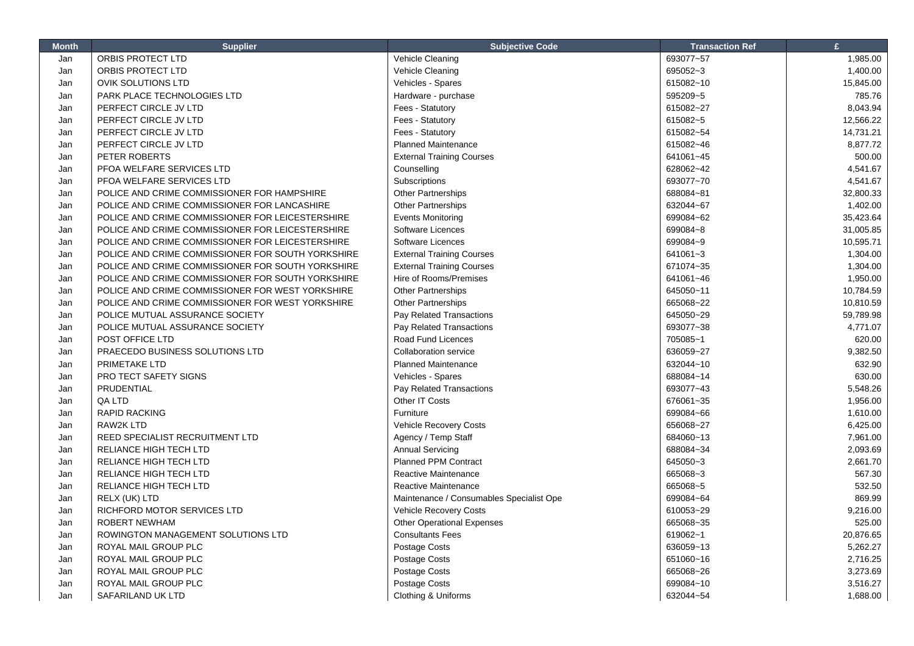| <b>Month</b> | <b>Supplier</b>                                   | <b>Subjective Code</b>                   | <b>Transaction Ref</b> | £         |
|--------------|---------------------------------------------------|------------------------------------------|------------------------|-----------|
| Jan          | ORBIS PROTECT LTD                                 | Vehicle Cleaning                         | 693077~57              | 1,985.00  |
| Jan          | ORBIS PROTECT LTD                                 | Vehicle Cleaning                         | 695052~3               | 1,400.00  |
| Jan          | <b>OVIK SOLUTIONS LTD</b>                         | Vehicles - Spares                        | 615082~10              | 15,845.00 |
| Jan          | PARK PLACE TECHNOLOGIES LTD                       | Hardware - purchase                      | 595209~5               | 785.76    |
| Jan          | PERFECT CIRCLE JV LTD                             | Fees - Statutory                         | 615082~27              | 8,043.94  |
| Jan          | PERFECT CIRCLE JV LTD                             | Fees - Statutory                         | 615082~5               | 12,566.22 |
| Jan          | PERFECT CIRCLE JV LTD                             | Fees - Statutory                         | 615082~54              | 14,731.21 |
| Jan          | PERFECT CIRCLE JV LTD                             | <b>Planned Maintenance</b>               | 615082~46              | 8,877.72  |
| Jan          | PETER ROBERTS                                     | <b>External Training Courses</b>         | 641061~45              | 500.00    |
| Jan          | PFOA WELFARE SERVICES LTD                         | Counselling                              | 628062~42              | 4,541.67  |
| Jan          | PFOA WELFARE SERVICES LTD                         | Subscriptions                            | 693077~70              | 4,541.67  |
| Jan          | POLICE AND CRIME COMMISSIONER FOR HAMPSHIRE       | <b>Other Partnerships</b>                | 688084~81              | 32,800.33 |
| Jan          | POLICE AND CRIME COMMISSIONER FOR LANCASHIRE      | Other Partnerships                       | 632044~67              | 1,402.00  |
| Jan          | POLICE AND CRIME COMMISSIONER FOR LEICESTERSHIRE  | <b>Events Monitoring</b>                 | 699084~62              | 35,423.64 |
| Jan          | POLICE AND CRIME COMMISSIONER FOR LEICESTERSHIRE  | Software Licences                        | 699084~8               | 31,005.85 |
| Jan          | POLICE AND CRIME COMMISSIONER FOR LEICESTERSHIRE  | Software Licences                        | 699084~9               | 10,595.71 |
| Jan          | POLICE AND CRIME COMMISSIONER FOR SOUTH YORKSHIRE | <b>External Training Courses</b>         | 641061~3               | 1,304.00  |
| Jan          | POLICE AND CRIME COMMISSIONER FOR SOUTH YORKSHIRE | <b>External Training Courses</b>         | 671074~35              | 1,304.00  |
| Jan          | POLICE AND CRIME COMMISSIONER FOR SOUTH YORKSHIRE | Hire of Rooms/Premises                   | 641061~46              | 1,950.00  |
| Jan          | POLICE AND CRIME COMMISSIONER FOR WEST YORKSHIRE  | Other Partnerships                       | 645050~11              | 10,784.59 |
| Jan          | POLICE AND CRIME COMMISSIONER FOR WEST YORKSHIRE  | Other Partnerships                       | 665068~22              | 10,810.59 |
| Jan          | POLICE MUTUAL ASSURANCE SOCIETY                   | Pay Related Transactions                 | 645050~29              | 59,789.98 |
| Jan          | POLICE MUTUAL ASSURANCE SOCIETY                   | Pay Related Transactions                 | 693077~38              | 4,771.07  |
| Jan          | POST OFFICE LTD                                   | Road Fund Licences                       | 705085~1               | 620.00    |
| Jan          | PRAECEDO BUSINESS SOLUTIONS LTD                   | <b>Collaboration service</b>             | 636059~27              | 9,382.50  |
| Jan          | PRIMETAKE LTD                                     | <b>Planned Maintenance</b>               | 632044~10              | 632.90    |
| Jan          | PRO TECT SAFETY SIGNS                             | Vehicles - Spares                        | 688084~14              | 630.00    |
| Jan          | PRUDENTIAL                                        | Pay Related Transactions                 | 693077~43              | 5,548.26  |
| Jan          | QA LTD                                            | Other IT Costs                           | 676061~35              | 1,956.00  |
| Jan          | RAPID RACKING                                     | Furniture                                | 699084~66              | 1,610.00  |
| Jan          | <b>RAW2K LTD</b>                                  | Vehicle Recovery Costs                   | 656068~27              | 6,425.00  |
| Jan          | REED SPECIALIST RECRUITMENT LTD                   | Agency / Temp Staff                      | 684060~13              | 7,961.00  |
| Jan          | RELIANCE HIGH TECH LTD                            | <b>Annual Servicing</b>                  | 688084~34              | 2,093.69  |
| Jan          | RELIANCE HIGH TECH LTD                            | <b>Planned PPM Contract</b>              | 645050~3               | 2,661.70  |
| Jan          | RELIANCE HIGH TECH LTD                            | Reactive Maintenance                     | 665068~3               | 567.30    |
| Jan          | RELIANCE HIGH TECH LTD                            | Reactive Maintenance                     | 665068~5               | 532.50    |
| Jan          | RELX (UK) LTD                                     | Maintenance / Consumables Specialist Ope | 699084~64              | 869.99    |
| Jan          | RICHFORD MOTOR SERVICES LTD                       | <b>Vehicle Recovery Costs</b>            | 610053~29              | 9,216.00  |
| Jan          | <b>ROBERT NEWHAM</b>                              | <b>Other Operational Expenses</b>        | 665068~35              | 525.00    |
| Jan          | ROWINGTON MANAGEMENT SOLUTIONS LTD                | <b>Consultants Fees</b>                  | 619062~1               | 20,876.65 |
| Jan          | ROYAL MAIL GROUP PLC                              | Postage Costs                            | 636059~13              | 5,262.27  |
| Jan          | ROYAL MAIL GROUP PLC                              | Postage Costs                            | 651060~16              | 2,716.25  |
| Jan          | ROYAL MAIL GROUP PLC                              | Postage Costs                            | 665068~26              | 3,273.69  |
| Jan          | ROYAL MAIL GROUP PLC                              | Postage Costs                            | 699084~10              | 3,516.27  |
| Jan          | SAFARILAND UK LTD                                 | Clothing & Uniforms                      | 632044~54              | 1,688.00  |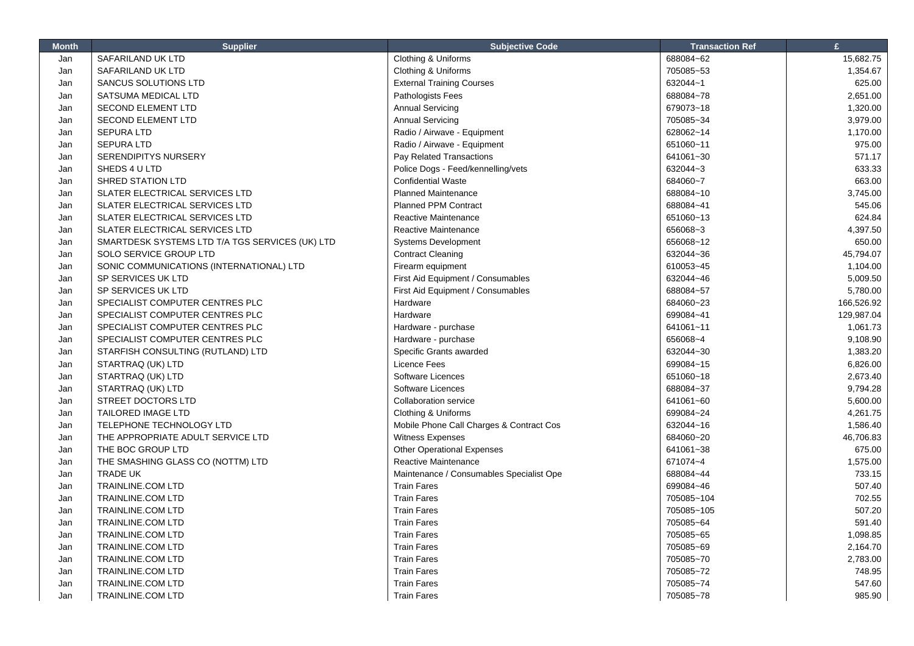| <b>Month</b> | <b>Supplier</b>                                 | <b>Subjective Code</b>                   | <b>Transaction Ref</b> | £          |
|--------------|-------------------------------------------------|------------------------------------------|------------------------|------------|
| Jan          | SAFARILAND UK LTD                               | Clothing & Uniforms                      | 688084~62              | 15,682.75  |
| Jan          | SAFARILAND UK LTD                               | Clothing & Uniforms                      | 705085~53              | 1,354.67   |
| Jan          | SANCUS SOLUTIONS LTD                            | <b>External Training Courses</b>         | 632044~1               | 625.00     |
| Jan          | SATSUMA MEDICAL LTD                             | <b>Pathologists Fees</b>                 | 688084~78              | 2,651.00   |
| Jan          | <b>SECOND ELEMENT LTD</b>                       | <b>Annual Servicing</b>                  | 679073~18              | 1,320.00   |
| Jan          | <b>SECOND ELEMENT LTD</b>                       | <b>Annual Servicing</b>                  | 705085~34              | 3,979.00   |
| Jan          | <b>SEPURA LTD</b>                               | Radio / Airwave - Equipment              | 628062~14              | 1,170.00   |
| Jan          | <b>SEPURA LTD</b>                               | Radio / Airwave - Equipment              | 651060~11              | 975.00     |
| Jan          | <b>SERENDIPITYS NURSERY</b>                     | Pay Related Transactions                 | 641061~30              | 571.17     |
| Jan          | SHEDS 4 U LTD                                   | Police Dogs - Feed/kennelling/vets       | 632044~3               | 633.33     |
| Jan          | SHRED STATION LTD                               | <b>Confidential Waste</b>                | 684060~7               | 663.00     |
| Jan          | SLATER ELECTRICAL SERVICES LTD                  | <b>Planned Maintenance</b>               | 688084~10              | 3,745.00   |
| Jan          | SLATER ELECTRICAL SERVICES LTD                  | <b>Planned PPM Contract</b>              | 688084~41              | 545.06     |
| Jan          | SLATER ELECTRICAL SERVICES LTD                  | Reactive Maintenance                     | 651060~13              | 624.84     |
| Jan          | SLATER ELECTRICAL SERVICES LTD                  | Reactive Maintenance                     | 656068~3               | 4,397.50   |
| Jan          | SMARTDESK SYSTEMS LTD T/A TGS SERVICES (UK) LTD | Systems Development                      | 656068~12              | 650.00     |
| Jan          | SOLO SERVICE GROUP LTD                          | <b>Contract Cleaning</b>                 | 632044~36              | 45,794.07  |
| Jan          | SONIC COMMUNICATIONS (INTERNATIONAL) LTD        | Firearm equipment                        | 610053~45              | 1,104.00   |
| Jan          | SP SERVICES UK LTD                              | First Aid Equipment / Consumables        | 632044~46              | 5,009.50   |
| Jan          | SP SERVICES UK LTD                              | First Aid Equipment / Consumables        | 688084~57              | 5,780.00   |
| Jan          | SPECIALIST COMPUTER CENTRES PLC                 | Hardware                                 | 684060~23              | 166,526.92 |
| Jan          | SPECIALIST COMPUTER CENTRES PLC                 | Hardware                                 | 699084~41              | 129,987.04 |
| Jan          | SPECIALIST COMPUTER CENTRES PLC                 | Hardware - purchase                      | 641061~11              | 1,061.73   |
| Jan          | SPECIALIST COMPUTER CENTRES PLC                 | Hardware - purchase                      | 656068~4               | 9,108.90   |
| Jan          | STARFISH CONSULTING (RUTLAND) LTD               | Specific Grants awarded                  | 632044~30              | 1,383.20   |
| Jan          | STARTRAQ (UK) LTD                               | Licence Fees                             | 699084~15              | 6,826.00   |
| Jan          | STARTRAQ (UK) LTD                               | Software Licences                        | 651060~18              | 2,673.40   |
| Jan          | STARTRAQ (UK) LTD                               | Software Licences                        | 688084~37              | 9,794.28   |
| Jan          | STREET DOCTORS LTD                              | <b>Collaboration service</b>             | 641061~60              | 5,600.00   |
| Jan          | <b>TAILORED IMAGE LTD</b>                       | Clothing & Uniforms                      | 699084~24              | 4,261.75   |
| Jan          | TELEPHONE TECHNOLOGY LTD                        | Mobile Phone Call Charges & Contract Cos | 632044~16              | 1,586.40   |
| Jan          | THE APPROPRIATE ADULT SERVICE LTD               | Witness Expenses                         | 684060~20              | 46,706.83  |
| Jan          | THE BOC GROUP LTD                               | <b>Other Operational Expenses</b>        | 641061~38              | 675.00     |
| Jan          | THE SMASHING GLASS CO (NOTTM) LTD               | Reactive Maintenance                     | 671074~4               | 1,575.00   |
| Jan          | <b>TRADE UK</b>                                 | Maintenance / Consumables Specialist Ope | 688084~44              | 733.15     |
| Jan          | <b>TRAINLINE.COM LTD</b>                        | <b>Train Fares</b>                       | 699084~46              | 507.40     |
| Jan          | <b>TRAINLINE.COM LTD</b>                        | <b>Train Fares</b>                       | 705085~104             | 702.55     |
| Jan          | <b>TRAINLINE.COM LTD</b>                        | <b>Train Fares</b>                       | 705085~105             | 507.20     |
| Jan          | <b>TRAINLINE.COM LTD</b>                        | <b>Train Fares</b>                       | 705085~64              | 591.40     |
| Jan          | <b>TRAINLINE.COM LTD</b>                        | <b>Train Fares</b>                       | 705085~65              | 1,098.85   |
| Jan          | <b>TRAINLINE.COM LTD</b>                        | <b>Train Fares</b>                       | 705085~69              | 2,164.70   |
| Jan          | <b>TRAINLINE.COM LTD</b>                        | <b>Train Fares</b>                       | 705085~70              | 2,783.00   |
| Jan          | <b>TRAINLINE.COM LTD</b>                        | <b>Train Fares</b>                       | 705085~72              | 748.95     |
| Jan          | <b>TRAINLINE.COM LTD</b>                        | <b>Train Fares</b>                       | 705085~74              | 547.60     |
| Jan          | <b>TRAINLINE.COM LTD</b>                        | <b>Train Fares</b>                       | 705085~78              | 985.90     |